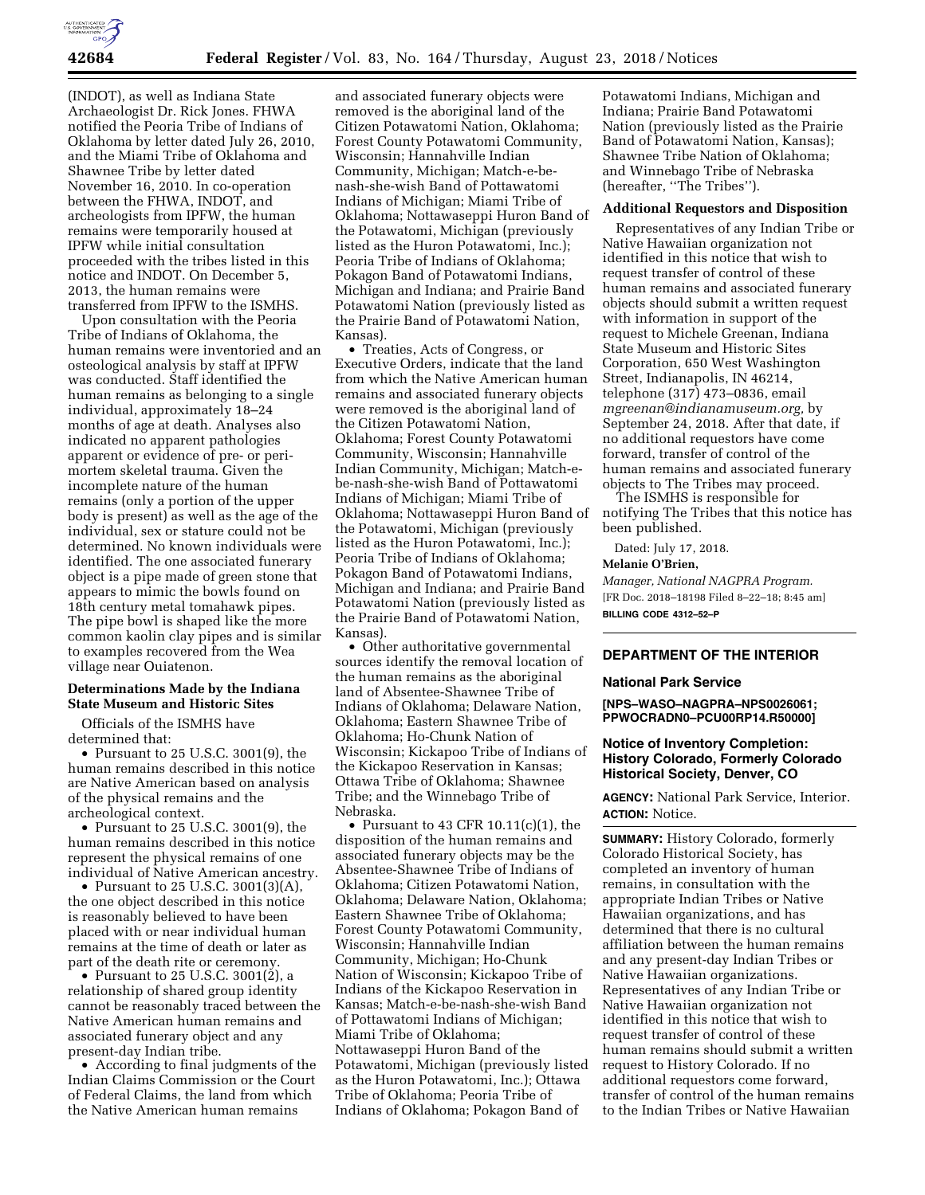

(INDOT), as well as Indiana State Archaeologist Dr. Rick Jones. FHWA notified the Peoria Tribe of Indians of Oklahoma by letter dated July 26, 2010, and the Miami Tribe of Oklahoma and Shawnee Tribe by letter dated November 16, 2010. In co-operation between the FHWA, INDOT, and archeologists from IPFW, the human remains were temporarily housed at IPFW while initial consultation proceeded with the tribes listed in this notice and INDOT. On December 5, 2013, the human remains were transferred from IPFW to the ISMHS.

Upon consultation with the Peoria Tribe of Indians of Oklahoma, the human remains were inventoried and an osteological analysis by staff at IPFW was conducted. Staff identified the human remains as belonging to a single individual, approximately 18–24 months of age at death. Analyses also indicated no apparent pathologies apparent or evidence of pre- or perimortem skeletal trauma. Given the incomplete nature of the human remains (only a portion of the upper body is present) as well as the age of the individual, sex or stature could not be determined. No known individuals were identified. The one associated funerary object is a pipe made of green stone that appears to mimic the bowls found on 18th century metal tomahawk pipes. The pipe bowl is shaped like the more common kaolin clay pipes and is similar to examples recovered from the Wea village near Ouiatenon.

## **Determinations Made by the Indiana State Museum and Historic Sites**

Officials of the ISMHS have determined that:

• Pursuant to 25 U.S.C. 3001(9), the human remains described in this notice are Native American based on analysis of the physical remains and the archeological context.

• Pursuant to 25 U.S.C. 3001(9), the human remains described in this notice represent the physical remains of one individual of Native American ancestry.

• Pursuant to 25 U.S.C. 3001(3)(A), the one object described in this notice is reasonably believed to have been placed with or near individual human remains at the time of death or later as part of the death rite or ceremony.

• Pursuant to 25 U.S.C. 3001 $(2)$ , a relationship of shared group identity cannot be reasonably traced between the Native American human remains and associated funerary object and any present-day Indian tribe.

• According to final judgments of the Indian Claims Commission or the Court of Federal Claims, the land from which the Native American human remains

and associated funerary objects were removed is the aboriginal land of the Citizen Potawatomi Nation, Oklahoma; Forest County Potawatomi Community, Wisconsin; Hannahville Indian Community, Michigan; Match-e-benash-she-wish Band of Pottawatomi Indians of Michigan; Miami Tribe of Oklahoma; Nottawaseppi Huron Band of the Potawatomi, Michigan (previously listed as the Huron Potawatomi, Inc.); Peoria Tribe of Indians of Oklahoma; Pokagon Band of Potawatomi Indians, Michigan and Indiana; and Prairie Band Potawatomi Nation (previously listed as the Prairie Band of Potawatomi Nation, Kansas).

• Treaties, Acts of Congress, or Executive Orders, indicate that the land from which the Native American human remains and associated funerary objects were removed is the aboriginal land of the Citizen Potawatomi Nation, Oklahoma; Forest County Potawatomi Community, Wisconsin; Hannahville Indian Community, Michigan; Match-ebe-nash-she-wish Band of Pottawatomi Indians of Michigan; Miami Tribe of Oklahoma; Nottawaseppi Huron Band of the Potawatomi, Michigan (previously listed as the Huron Potawatomi, Inc.); Peoria Tribe of Indians of Oklahoma; Pokagon Band of Potawatomi Indians, Michigan and Indiana; and Prairie Band Potawatomi Nation (previously listed as the Prairie Band of Potawatomi Nation, Kansas).

• Other authoritative governmental sources identify the removal location of the human remains as the aboriginal land of Absentee-Shawnee Tribe of Indians of Oklahoma; Delaware Nation, Oklahoma; Eastern Shawnee Tribe of Oklahoma; Ho-Chunk Nation of Wisconsin; Kickapoo Tribe of Indians of the Kickapoo Reservation in Kansas; Ottawa Tribe of Oklahoma; Shawnee Tribe; and the Winnebago Tribe of Nebraska.

• Pursuant to 43 CFR 10.11(c)(1), the disposition of the human remains and associated funerary objects may be the Absentee-Shawnee Tribe of Indians of Oklahoma; Citizen Potawatomi Nation, Oklahoma; Delaware Nation, Oklahoma; Eastern Shawnee Tribe of Oklahoma; Forest County Potawatomi Community, Wisconsin; Hannahville Indian Community, Michigan; Ho-Chunk Nation of Wisconsin; Kickapoo Tribe of Indians of the Kickapoo Reservation in Kansas; Match-e-be-nash-she-wish Band of Pottawatomi Indians of Michigan; Miami Tribe of Oklahoma; Nottawaseppi Huron Band of the Potawatomi, Michigan (previously listed as the Huron Potawatomi, Inc.); Ottawa Tribe of Oklahoma; Peoria Tribe of Indians of Oklahoma; Pokagon Band of

Potawatomi Indians, Michigan and Indiana; Prairie Band Potawatomi Nation (previously listed as the Prairie Band of Potawatomi Nation, Kansas); Shawnee Tribe Nation of Oklahoma; and Winnebago Tribe of Nebraska (hereafter, ''The Tribes'').

## **Additional Requestors and Disposition**

Representatives of any Indian Tribe or Native Hawaiian organization not identified in this notice that wish to request transfer of control of these human remains and associated funerary objects should submit a written request with information in support of the request to Michele Greenan, Indiana State Museum and Historic Sites Corporation, 650 West Washington Street, Indianapolis, IN 46214, telephone (317) 473–0836, email *[mgreenan@indianamuseum.org,](mailto:mgreenan@indianamuseum.org)* by September 24, 2018. After that date, if no additional requestors have come forward, transfer of control of the human remains and associated funerary objects to The Tribes may proceed.

The ISMHS is responsible for notifying The Tribes that this notice has been published.

Dated: July 17, 2018.

### **Melanie O'Brien,**

*Manager, National NAGPRA Program.*  [FR Doc. 2018–18198 Filed 8–22–18; 8:45 am] **BILLING CODE 4312–52–P** 

# **DEPARTMENT OF THE INTERIOR**

## **National Park Service**

**[NPS–WASO–NAGPRA–NPS0026061; PPWOCRADN0–PCU00RP14.R50000]** 

## **Notice of Inventory Completion: History Colorado, Formerly Colorado Historical Society, Denver, CO**

**AGENCY:** National Park Service, Interior. **ACTION:** Notice.

**SUMMARY:** History Colorado, formerly Colorado Historical Society, has completed an inventory of human remains, in consultation with the appropriate Indian Tribes or Native Hawaiian organizations, and has determined that there is no cultural affiliation between the human remains and any present-day Indian Tribes or Native Hawaiian organizations. Representatives of any Indian Tribe or Native Hawaiian organization not identified in this notice that wish to request transfer of control of these human remains should submit a written request to History Colorado. If no additional requestors come forward, transfer of control of the human remains to the Indian Tribes or Native Hawaiian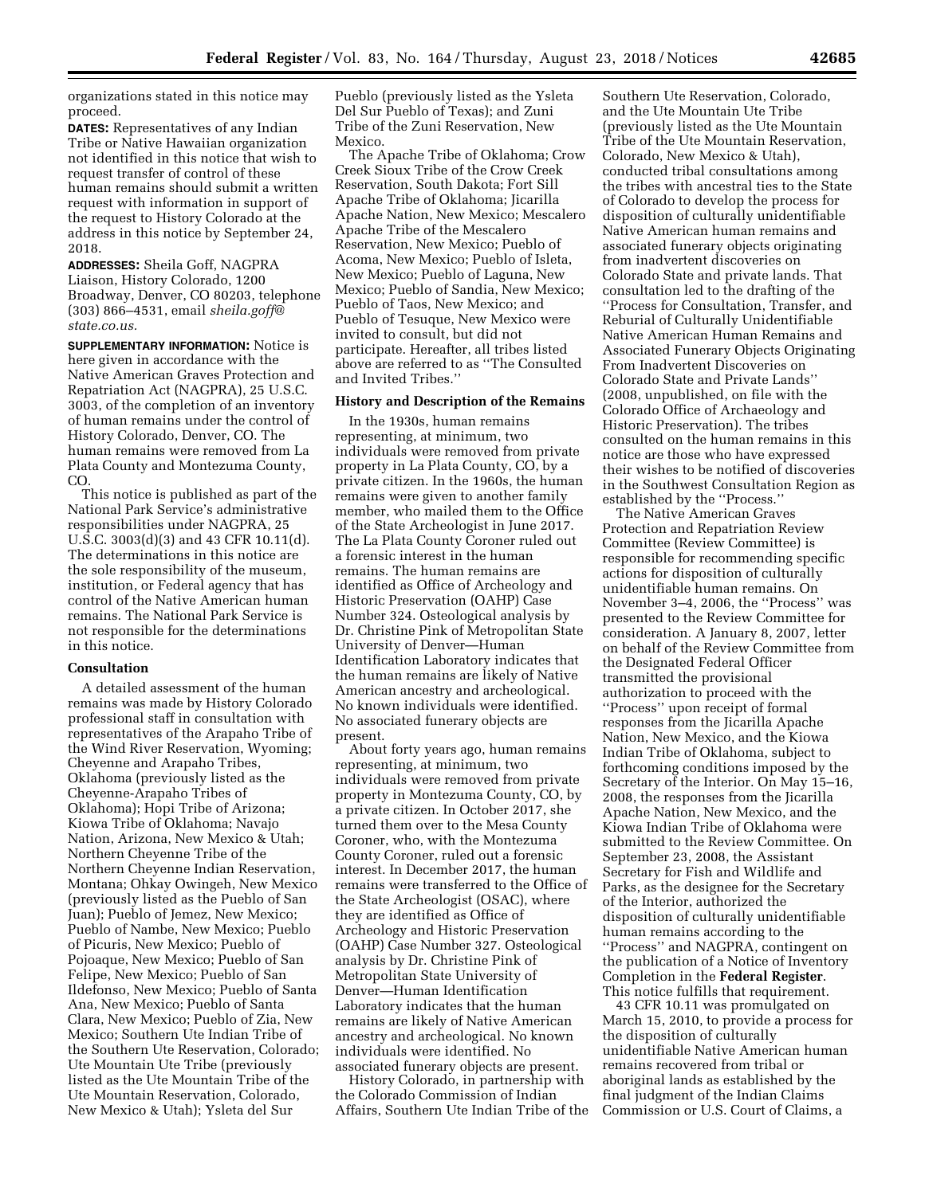organizations stated in this notice may proceed.

**DATES:** Representatives of any Indian Tribe or Native Hawaiian organization not identified in this notice that wish to request transfer of control of these human remains should submit a written request with information in support of the request to History Colorado at the address in this notice by September 24, 2018.

**ADDRESSES:** Sheila Goff, NAGPRA Liaison, History Colorado, 1200 Broadway, Denver, CO 80203, telephone (303) 866–4531, email *[sheila.goff@](mailto:sheila.goff@state.co.us) [state.co.us.](mailto:sheila.goff@state.co.us)* 

**SUPPLEMENTARY INFORMATION:** Notice is here given in accordance with the Native American Graves Protection and Repatriation Act (NAGPRA), 25 U.S.C. 3003, of the completion of an inventory of human remains under the control of History Colorado, Denver, CO. The human remains were removed from La Plata County and Montezuma County, CO.

This notice is published as part of the National Park Service's administrative responsibilities under NAGPRA, 25 U.S.C. 3003(d)(3) and 43 CFR 10.11(d). The determinations in this notice are the sole responsibility of the museum, institution, or Federal agency that has control of the Native American human remains. The National Park Service is not responsible for the determinations in this notice.

#### **Consultation**

A detailed assessment of the human remains was made by History Colorado professional staff in consultation with representatives of the Arapaho Tribe of the Wind River Reservation, Wyoming; Cheyenne and Arapaho Tribes, Oklahoma (previously listed as the Cheyenne-Arapaho Tribes of Oklahoma); Hopi Tribe of Arizona; Kiowa Tribe of Oklahoma; Navajo Nation, Arizona, New Mexico & Utah; Northern Cheyenne Tribe of the Northern Cheyenne Indian Reservation, Montana; Ohkay Owingeh, New Mexico (previously listed as the Pueblo of San Juan); Pueblo of Jemez, New Mexico; Pueblo of Nambe, New Mexico; Pueblo of Picuris, New Mexico; Pueblo of Pojoaque, New Mexico; Pueblo of San Felipe, New Mexico; Pueblo of San Ildefonso, New Mexico; Pueblo of Santa Ana, New Mexico; Pueblo of Santa Clara, New Mexico; Pueblo of Zia, New Mexico; Southern Ute Indian Tribe of the Southern Ute Reservation, Colorado; Ute Mountain Ute Tribe (previously listed as the Ute Mountain Tribe of the Ute Mountain Reservation, Colorado, New Mexico & Utah); Ysleta del Sur

Pueblo (previously listed as the Ysleta Del Sur Pueblo of Texas); and Zuni Tribe of the Zuni Reservation, New Mexico.

The Apache Tribe of Oklahoma; Crow Creek Sioux Tribe of the Crow Creek Reservation, South Dakota; Fort Sill Apache Tribe of Oklahoma; Jicarilla Apache Nation, New Mexico; Mescalero Apache Tribe of the Mescalero Reservation, New Mexico; Pueblo of Acoma, New Mexico; Pueblo of Isleta, New Mexico; Pueblo of Laguna, New Mexico; Pueblo of Sandia, New Mexico; Pueblo of Taos, New Mexico; and Pueblo of Tesuque, New Mexico were invited to consult, but did not participate. Hereafter, all tribes listed above are referred to as ''The Consulted and Invited Tribes.''

## **History and Description of the Remains**

In the 1930s, human remains representing, at minimum, two individuals were removed from private property in La Plata County, CO, by a private citizen. In the 1960s, the human remains were given to another family member, who mailed them to the Office of the State Archeologist in June 2017. The La Plata County Coroner ruled out a forensic interest in the human remains. The human remains are identified as Office of Archeology and Historic Preservation (OAHP) Case Number 324. Osteological analysis by Dr. Christine Pink of Metropolitan State University of Denver—Human Identification Laboratory indicates that the human remains are likely of Native American ancestry and archeological. No known individuals were identified. No associated funerary objects are present.

About forty years ago, human remains representing, at minimum, two individuals were removed from private property in Montezuma County, CO, by a private citizen. In October 2017, she turned them over to the Mesa County Coroner, who, with the Montezuma County Coroner, ruled out a forensic interest. In December 2017, the human remains were transferred to the Office of the State Archeologist (OSAC), where they are identified as Office of Archeology and Historic Preservation (OAHP) Case Number 327. Osteological analysis by Dr. Christine Pink of Metropolitan State University of Denver—Human Identification Laboratory indicates that the human remains are likely of Native American ancestry and archeological. No known individuals were identified. No associated funerary objects are present.

History Colorado, in partnership with the Colorado Commission of Indian Affairs, Southern Ute Indian Tribe of the

Southern Ute Reservation, Colorado, and the Ute Mountain Ute Tribe (previously listed as the Ute Mountain Tribe of the Ute Mountain Reservation, Colorado, New Mexico & Utah), conducted tribal consultations among the tribes with ancestral ties to the State of Colorado to develop the process for disposition of culturally unidentifiable Native American human remains and associated funerary objects originating from inadvertent discoveries on Colorado State and private lands. That consultation led to the drafting of the ''Process for Consultation, Transfer, and Reburial of Culturally Unidentifiable Native American Human Remains and Associated Funerary Objects Originating From Inadvertent Discoveries on Colorado State and Private Lands'' (2008, unpublished, on file with the Colorado Office of Archaeology and Historic Preservation). The tribes consulted on the human remains in this notice are those who have expressed their wishes to be notified of discoveries in the Southwest Consultation Region as established by the ''Process.''

The Native American Graves Protection and Repatriation Review Committee (Review Committee) is responsible for recommending specific actions for disposition of culturally unidentifiable human remains. On November 3–4, 2006, the ''Process'' was presented to the Review Committee for consideration. A January 8, 2007, letter on behalf of the Review Committee from the Designated Federal Officer transmitted the provisional authorization to proceed with the ''Process'' upon receipt of formal responses from the Jicarilla Apache Nation, New Mexico, and the Kiowa Indian Tribe of Oklahoma, subject to forthcoming conditions imposed by the Secretary of the Interior. On May 15–16, 2008, the responses from the Jicarilla Apache Nation, New Mexico, and the Kiowa Indian Tribe of Oklahoma were submitted to the Review Committee. On September 23, 2008, the Assistant Secretary for Fish and Wildlife and Parks, as the designee for the Secretary of the Interior, authorized the disposition of culturally unidentifiable human remains according to the ''Process'' and NAGPRA, contingent on the publication of a Notice of Inventory Completion in the **Federal Register**. This notice fulfills that requirement.

43 CFR 10.11 was promulgated on March 15, 2010, to provide a process for the disposition of culturally unidentifiable Native American human remains recovered from tribal or aboriginal lands as established by the final judgment of the Indian Claims Commission or U.S. Court of Claims, a